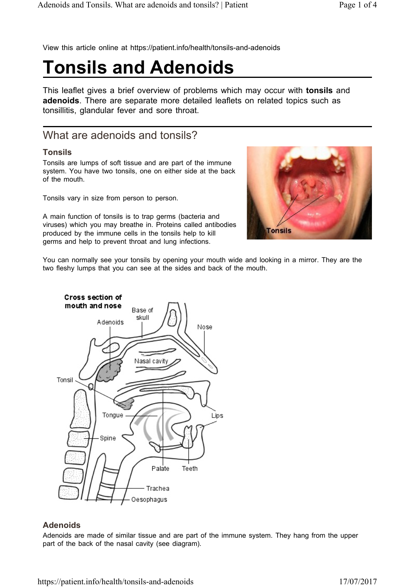View this article online at https://patient.info/health/tonsils-and-adenoids

# **Tonsils and Adenoids**

This leaflet gives a brief overview of problems which may occur with **tonsils** and **adenoids**. There are separate more detailed leaflets on related topics such as tonsillitis, glandular fever and sore throat.

# What are adenoids and tonsils?

#### **Tonsils**

Tonsils are lumps of soft tissue and are part of the immune system. You have two tonsils, one on either side at the back of the mouth.

Tonsils vary in size from person to person.

A main function of tonsils is to trap germs (bacteria and viruses) which you may breathe in. Proteins called antibodies produced by the immune cells in the tonsils help to kill germs and help to prevent throat and lung infections.



You can normally see your tonsils by opening your mouth wide and looking in a mirror. They are the two fleshy lumps that you can see at the sides and back of the mouth.



#### **Adenoids**

Adenoids are made of similar tissue and are part of the immune system. They hang from the upper part of the back of the nasal cavity (see diagram).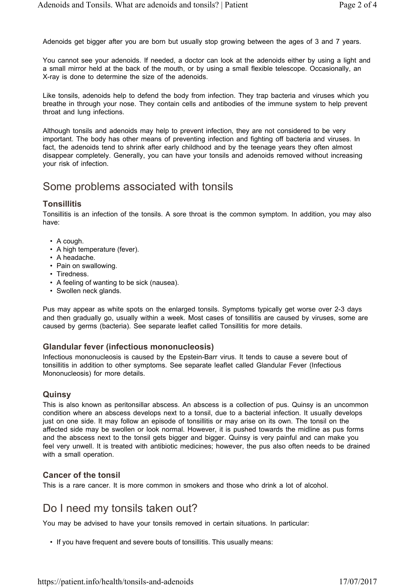Adenoids get bigger after you are born but usually stop growing between the ages of 3 and 7 years.

You cannot see your adenoids. If needed, a doctor can look at the adenoids either by using a light and a small mirror held at the back of the mouth, or by using a small flexible telescope. Occasionally, an X-ray is done to determine the size of the adenoids.

Like tonsils, adenoids help to defend the body from infection. They trap bacteria and viruses which you breathe in through your nose. They contain cells and antibodies of the immune system to help prevent throat and lung infections.

Although tonsils and adenoids may help to prevent infection, they are not considered to be very important. The body has other means of preventing infection and fighting off bacteria and viruses. In fact, the adenoids tend to shrink after early childhood and by the teenage years they often almost disappear completely. Generally, you can have your tonsils and adenoids removed without increasing your risk of infection.

### Some problems associated with tonsils

#### **Tonsillitis**

Tonsillitis is an infection of the tonsils. A sore throat is the common symptom. In addition, you may also have:

- A cough.
- A high temperature (fever).
- A headache.
- Pain on swallowing.
- Tiredness.
- A feeling of wanting to be sick (nausea).
- Swollen neck glands.

Pus may appear as white spots on the enlarged tonsils. Symptoms typically get worse over 2-3 days and then gradually go, usually within a week. Most cases of tonsillitis are caused by viruses, some are caused by germs (bacteria). See separate leaflet called Tonsillitis for more details.

#### **Glandular fever (infectious mononucleosis)**

Infectious mononucleosis is caused by the Epstein-Barr virus. It tends to cause a severe bout of tonsillitis in addition to other symptoms. See separate leaflet called Glandular Fever (Infectious Mononucleosis) for more details.

#### **Quinsy**

This is also known as peritonsillar abscess. An abscess is a collection of pus. Quinsy is an uncommon condition where an abscess develops next to a tonsil, due to a bacterial infection. It usually develops just on one side. It may follow an episode of tonsillitis or may arise on its own. The tonsil on the affected side may be swollen or look normal. However, it is pushed towards the midline as pus forms and the abscess next to the tonsil gets bigger and bigger. Quinsy is very painful and can make you feel very unwell. It is treated with antibiotic medicines; however, the pus also often needs to be drained with a small operation.

#### **Cancer of the tonsil**

This is a rare cancer. It is more common in smokers and those who drink a lot of alcohol.

### Do I need my tonsils taken out?

You may be advised to have your tonsils removed in certain situations. In particular:

• If you have frequent and severe bouts of tonsillitis. This usually means: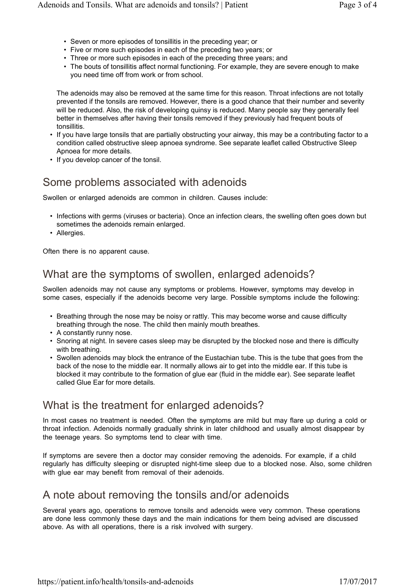- Seven or more episodes of tonsillitis in the preceding year; or
- Five or more such episodes in each of the preceding two years; or
- Three or more such episodes in each of the preceding three years; and
- The bouts of tonsillitis affect normal functioning. For example, they are severe enough to make you need time off from work or from school.

The adenoids may also be removed at the same time for this reason. Throat infections are not totally prevented if the tonsils are removed. However, there is a good chance that their number and severity will be reduced. Also, the risk of developing quinsy is reduced. Many people say they generally feel better in themselves after having their tonsils removed if they previously had frequent bouts of tonsillitis.

- If you have large tonsils that are partially obstructing your airway, this may be a contributing factor to a condition called obstructive sleep apnoea syndrome. See separate leaflet called Obstructive Sleep Apnoea for more details.
- If you develop cancer of the tonsil.

# Some problems associated with adenoids

Swollen or enlarged adenoids are common in children. Causes include:

- Infections with germs (viruses or bacteria). Once an infection clears, the swelling often goes down but sometimes the adenoids remain enlarged.
- Allergies.

Often there is no apparent cause.

# What are the symptoms of swollen, enlarged adenoids?

Swollen adenoids may not cause any symptoms or problems. However, symptoms may develop in some cases, especially if the adenoids become very large. Possible symptoms include the following:

- Breathing through the nose may be noisy or rattly. This may become worse and cause difficulty breathing through the nose. The child then mainly mouth breathes.
- A constantly runny nose.
- Snoring at night. In severe cases sleep may be disrupted by the blocked nose and there is difficulty with breathing.
- Swollen adenoids may block the entrance of the Eustachian tube. This is the tube that goes from the back of the nose to the middle ear. It normally allows air to get into the middle ear. If this tube is blocked it may contribute to the formation of glue ear (fluid in the middle ear). See separate leaflet called Glue Ear for more details*.*

# What is the treatment for enlarged adenoids?

In most cases no treatment is needed. Often the symptoms are mild but may flare up during a cold or throat infection. Adenoids normally gradually shrink in later childhood and usually almost disappear by the teenage years. So symptoms tend to clear with time.

If symptoms are severe then a doctor may consider removing the adenoids. For example, if a child regularly has difficulty sleeping or disrupted night-time sleep due to a blocked nose. Also, some children with glue ear may benefit from removal of their adenoids.

## A note about removing the tonsils and/or adenoids

Several years ago, operations to remove tonsils and adenoids were very common. These operations are done less commonly these days and the main indications for them being advised are discussed above. As with all operations, there is a risk involved with surgery.